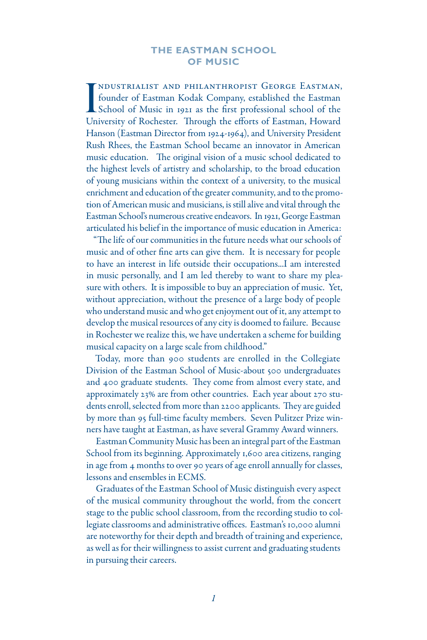# **THE EASTMAN SCHOOL OF MUSIC**

I NDUSTRIALIST AND PHILANTHROPIST GEORGE EASTMAN,<br>
founder of Eastman Kodak Company, established the Eastman<br>
School of Music in 1921 as the first professional school of the ndustrialist and philanthropist George Eastman, founder of Eastman Kodak Company, established the Eastman University of Rochester. Through the efforts of Eastman, Howard Hanson (Eastman Director from 1924-1964), and University President Rush Rhees, the Eastman School became an innovator in American music education. The original vision of a music school dedicated to the highest levels of artistry and scholarship, to the broad education of young musicians within the context of a university, to the musical enrichment and education of the greater community, and to the promotion of American music and musicians, is still alive and vital through the Eastman School's numerous creative endeavors. In 1921, George Eastman articulated his belief in the importance of music education in America:

"The life of our communities in the future needs what our schools of music and of other fine arts can give them. It is necessary for people to have an interest in life outside their occupations...I am interested in music personally, and I am led thereby to want to share my pleasure with others. It is impossible to buy an appreciation of music. Yet, without appreciation, without the presence of a large body of people who understand music and who get enjoyment out of it, any attempt to develop the musical resources of any city is doomed to failure. Because in Rochester we realize this, we have undertaken a scheme for building musical capacity on a large scale from childhood."

Today, more than 900 students are enrolled in the Collegiate Division of the Eastman School of Music-about 500 undergraduates and 400 graduate students. They come from almost every state, and approximately 23% are from other countries. Each year about 270 students enroll, selected from more than 2200 applicants. They are guided by more than 95 full-time faculty members. Seven Pulitzer Prize winners have taught at Eastman, as have several Grammy Award winners.

Eastman Community Music has been an integral part of the Eastman School from its beginning. Approximately 1,600 area citizens, ranging in age from 4 months to over 90 years of age enroll annually for classes, lessons and ensembles in ECMS.

Graduates of the Eastman School of Music distinguish every aspect of the musical community throughout the world, from the concert stage to the public school classroom, from the recording studio to collegiate classrooms and administrative offices. Eastman's 10,000 alumni are noteworthy for their depth and breadth of training and experience, as well as for their willingness to assist current and graduating students in pursuing their careers.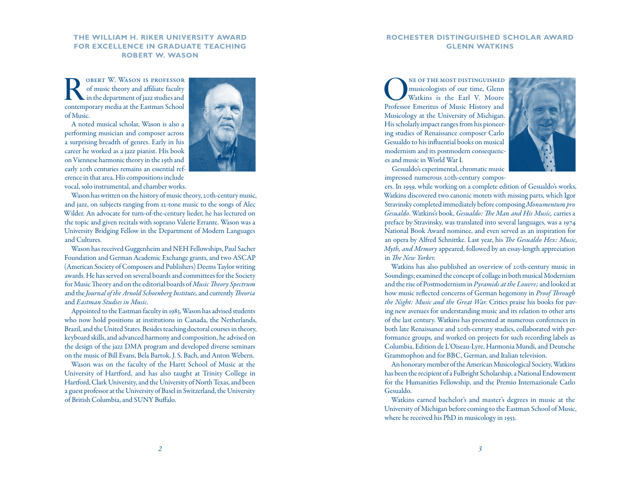# **The William H. Riker University Award for Excellence in Graduate Teaching robert w. wason**

ROBERT W. WASON IS PROFESSOR of music theory and affiliate faculty in the department of jazz studies and of music theory and affiliate faculty contemporary media at the Eastman School of Music.

A noted musical scholar, Wason is also a performing musician and composer across a surprising breadth of genres. Early in his career he worked as a jazz pianist. His book on Viennese harmonic theory in the 19th and early 20th centuries remains an essential reference in that area. His compositions include vocal, solo instrumental, and chamber works.



Wason has written on the history of music theory, 20th-century music, and jazz, on subjects ranging from 12-tone music to the songs of Alec Wilder. An advocate for turn-of-the-century lieder, he has lectured on the topic and given recitals with soprano Valerie Errante. Wason was a University Bridging Fellow in the Department of Modern Languages and Cultures.

Wason has received Guggenheim and NEH Fellowships, Paul Sacher Foundation and German Academic Exchange grants, and two ASCAP (American Society of Composers and Publishers) Deems Taylor writing awards. He has served on several boards and committees for the Society for Music Theory and on the editorial boards of *Music Theory Spectrum* and the *Journal of the Arnold Schoenberg Institute,* and currently *Theoria* and *Eastman Studies in Music.* 

Appointed to the Eastman faculty in 1983, Wason has advised students who now hold positions at institutions in Canada, the Netherlands, Brazil, and the United States. Besides teaching doctoral courses in theory, keyboard skills, and advanced harmony and composition, he advised on the design of the jazz DMA program and developed diverse seminars on the music of Bill Evans, Bela Bartok, J. S. Bach, and Anton Webern.

Wason was on the faculty of the Hartt School of Music at the University of Hartford, and has also taught at Trinity College in Hartford, Clark University, and the University of North Texas, and been a guest professor at the University of Basel in Switzerland, the University of British Columbia, and SUNY Buffalo.

# **Rochester Distinguished Scholar Award glenn watkins**

NE OF THE MOST DISTINGUISHED<br>
Musicologists of our time, Glenn<br>
Watkins is the Earl V. Moore musicologists of our time, Glenn Professor Emeritus of Music History and Musicology at the University of Michigan. His scholarly impact ranges from his pioneering studies of Renaissance composer Carlo Gesualdo to his influential books on musical modernism and its postmodern consequences and music in World War I.



Gesualdo's experimental, chromatic music impressed numerous 20th-century compos-

ers. In 1959, while working on a complete edition of Gesualdo's works, Watkins discovered two canonic motets with missing parts, which Igor Stravinsky completed immediately before composing *Monumentum pro Gesualdo*. Watkins's book, *Gesualdo: The Man and His Music,* carries a preface by Stravinsky, was translated into several languages, was a 1974 National Book Award nominee, and even served as an inspiration for an opera by Alfred Schnittke. Last year, his *The Gesualdo Hex: Music, Myth, and Memory* appeared, followed by an essay-length appreciation in *The New Yorker.*

Watkins has also published an overview of 20th-century music in Soundings; examined the concept of collage in both musical Modernism and the rise of Postmodernism in *Pyramids at the Louvre;* and looked at how music reflected concerns of German hegemony in *Proof Through the Night: Music and the Great War.* Critics praise his books for paving new avenues for understanding music and its relation to other arts of the last century. Watkins has presented at numerous conferences in both late Renaissance and 20th-century studies, collaborated with performance groups, and worked on projects for such recording labels as Columbia, Edition de L'Oiseau-Lyre, Harmonia Mundi, and Deutsche Grammophon and for BBC, German, and Italian television.

An honorary member of the American Musicological Society, Watkins has been the recipient of a Fulbright Scholarship, a National Endowment for the Humanities Fellowship, and the Premio Internazionale Carlo Gesualdo.

Watkins earned bachelor's and master's degrees in music at the University of Michigan before coming to the Eastman School of Music, where he received his PhD in musicology in 1953.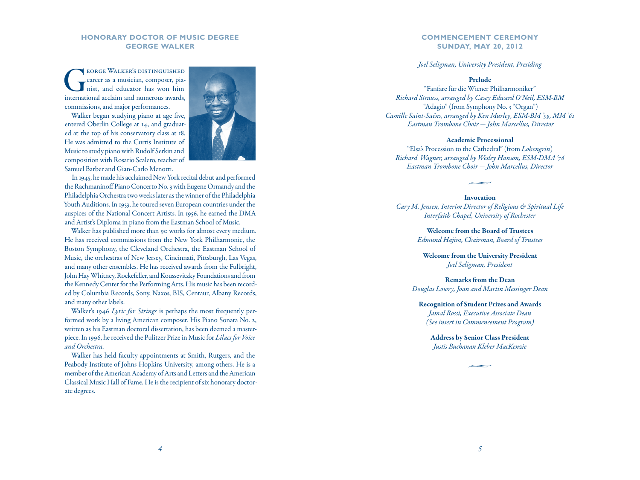# **Honorary Doctor of Music Degree George Walker**

EORGE WALKER'S DISTINGUISHED<br>career as a musician, composer, pia-<br>nist, and educator has won him career as a musician, composer, pia nist, and educator has won him international acclaim and numerous awards, commissions, and major performances.

Walker began studying piano at age five, entered Oberlin College at 14, and graduat ed at the top of his conservatory class at 18. He was admitted to the Curtis Institute of Music to study piano with Rudolf Serkin and composition with Rosario Scalero, teacher of Samuel Barber and Gian-Carlo Menotti.



In 1945, he made his acclaimed New York recital debut and performed the Rachmaninoff Piano Concerto No. 3 with Eugene Ormandy and the Philadelphia Orchestra two weeks later as the winner of the Philadelphia Youth Auditions. In 1953, he toured seven European countries under the auspices of the National Concert Artists. In 1956, he earned the DMA and Artist's Diploma in piano from the Eastman School of Music.

Walker has published more than 90 works for almost every medium. He has received commissions from the New York Philharmonic, the Boston Symphony, the Cleveland Orchestra, the Eastman School of Music, the orchestras of New Jersey, Cincinnati, Pittsburgh, Las Vegas, and many other ensembles. He has received awards from the Fulbright, John Hay Whitney, Rockefeller, and Koussevitzky Foundations and from the Kennedy Center for the Performing Arts. His music has been record ed by Columbia Records, Sony, Naxos, BIS, Centaur, Albany Records, and many other labels.

Walker's 1946 *Lyric for Strings* is perhaps the most frequently per formed work by a living American composer. His Piano Sonata No. 2, written as his Eastman doctoral dissertation, has been deemed a master piece. In 1996, he received the Pulitzer Prize in Music for *Lilacs for Voice and Orchestra.*

Walker has held faculty appointments at Smith, Rutgers, and the Peabody Institute of Johns Hopkins University, among others. He is a member of the American Academy of Arts and Letters and the American Classical Music Hall of Fame. He is the recipient of six honorary doctor ate degrees.

### **COMMENCEMENT CEREMON Y SUN D AY, MAY 20, 2012**

*Joel Seligman, University President, Presiding*

### Prelude

"Fanfare für die Wiener Philharmoniker" *Richard Strauss, arranged by Casey Edward O'Neil, ESM-BM* "Adagio" (from Symphony No. 3 "Organ") *Camille Saint-Saëns, arranged by Ken Murley, ESM-BM '59, MM '61 Eastman Trombone Choir*  — *John Marcellus, Director*

### Academic Processional

"Elsa's Procession to the Cathedral" (from *Lohengrin* ) *Richard Wagner, arranged by Wesley Hanson, ESM-DMA '76 Eastman Trombone Choir*  — *John Marcellus, Director*

#### Invocation

*Cary M. Jensen, Interim Director of Religious & Spiritual Life Interfaith Chapel, University of Rochester*

> Welcome from the Board of Trustees *Edmund Hajim, Chairman, Board of Trustees*

Welcome from the University President *Joel Seligman, President*

Remarks from the Dean *Douglas Lowry, Joan and Martin Messinger Dean*

Recognition of Student Prizes and Awards *Jamal Rossi, Executive Associate Dean (See insert in Commencement Program)*

Address by Senior Class President *Justis Buchanan Kleber MacKenzie*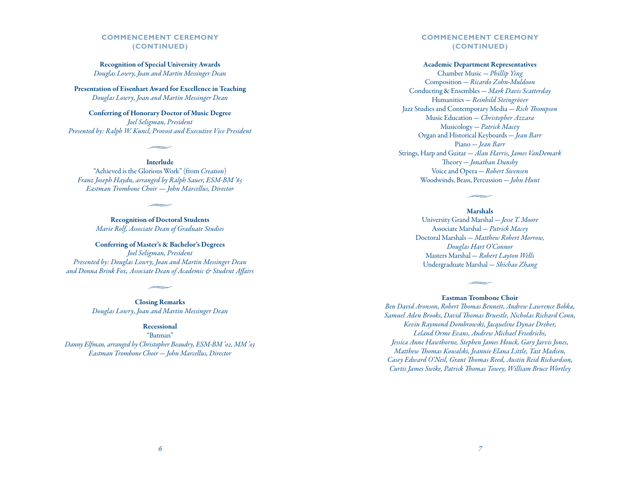# **COMMENCEMENT CEREMONY (CONTINUED)**

Recognition of Special University Awards *Douglas Lowry, Joan and Martin Messinger Dean*

Presentation of Eisenhart Award for Excellence in Teaching *Douglas Lowry, Joan and Martin Messinger Dean*

Conferring of Honorary Doctor of Music Degree *Joel Seligman, President Presented by: Ralph W. Kuncl, Provost and Executive Vice President*

Interlude

"Achieved is the Glorious Work" (from *Creation*) *Franz Joseph Haydn, arranged by Ralph Sauer, ESM-BM '65 Eastman Trombone Choir — John Marcellus, Director*

> Recognition of Doctoral Students *Marie Rolf, Associate Dean of Graduate Studies*

Conferring of Master's & Bachelor's Degrees *Joel Seligman, President Presented by: Douglas Lowry, Joan and Martin Messinger Dean and Donna Brink Fox, Associate Dean of Academic & Student Affairs*

> Closing Remarks *Douglas Lowry, Joan and Martin Messinger Dean*

### Recessional

"Batman" *Danny Elfman, arranged by Christopher Beaudry, ESM-BM '02, MM '03 Eastman Trombone Choir — John Marcellus, Director*

# **COMMENCEMENT CEREMONY (CONTINUED)**

### Academic Department Representatives

Chamber Music — *Phillip Ying* Composition — *Ricardo Zohn-Muldoon* Conducting & Ensembles — *Mark Davis Scatterday* Humanities — *Reinhild Steingröver* Jazz Studies and Contemporary Media — *Rich Thompson* Music Education — *Christopher Azzara* Musicology — *Patrick Macey* Organ and Historical Keyboards — *Jean Barr* Piano — *Jean Barr* Strings, Harp and Guitar — *Alan Harris, James VanDemark* Theory — *Jonathan Dunsby* Voice and Opera — *Robert Swensen* Woodwinds, Brass, Percussion — *John Hunt*

#### Marshals

University Grand Marshal — *Jesse T. Moore* Associate Marshal — *Patrick Macey* Doctoral Marshals — *Matthew Robert Morrow, Douglas Hart O'Connor* Masters Marshal — *Robert Layton Wells* Undergraduate Marshal — *Shichao Zhang*

### Eastman Trombone Choir

*Ben David Aronson, Robert Thomas Bennett, Andrew Lawrence Bobka, Samuel Aden Brooks, David Thomas Bruestle, Nicholas Richard Conn, Kevin Raymond Dombrowski, Jacqueline Dynae Dreher, Leland Orme Evans, Andrew Michael Friedrichs, Jessica Anne Hawthorne, Stephen James Houck, Gary Jarvis Jones, Matthew Thomas Kowalski, Jeannie Elana Little, Tait Madsen, Casey Edward O'Neil, Grant Thomas Reed, Austin Reid Richardson, Curtis James Swike, Patrick Thomas Towey, William Bruce Wortley*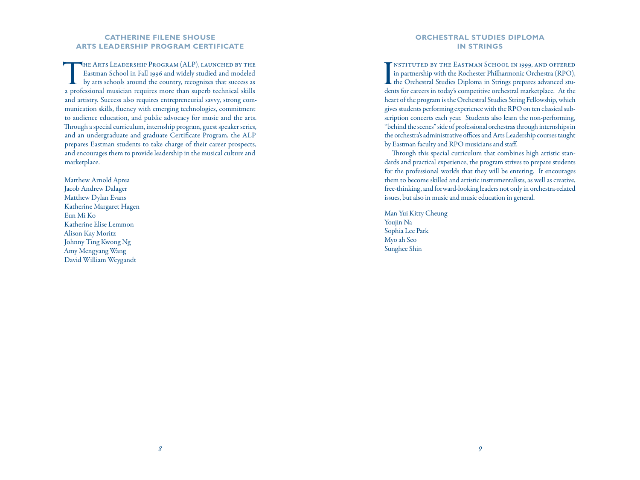# **Catherine Filene Shouse Arts Leadership Program Certificate**

THE ARTS LEADERSHIP PROGRAM (ALP), LAUNCHED BY THE Eastman School in Fall 1996 and widely studied and modeled by arts schools around the country, recognizes that success as Eastman School in Fall 1996 and widely studied and modeled a professional musician requires more than superb technical skills and artistry. Success also requires entrepreneurial savvy, strong communication skills, fluency with emerging technologies, commitment to audience education, and public advocacy for music and the arts. Through a special curriculum, internship program, guest speaker series, and an undergraduate and graduate Certificate Program, the ALP prepares Eastman students to take charge of their career prospects, and encourages them to provide leadership in the musical culture and marketplace.

Matthew Arnold Aprea Jacob Andrew Dalager Matthew Dylan Evans Katherine Margaret Hagen Eun Mi Ko Katherine Elise Lemmon Alison Kay Moritz Johnny Ting Kwong Ng Amy Mengyang Wang David William Weygandt

### **Orchestral Studies Diploma in Strings**

INSTITUTED BY THE EASTMAN SCHOOL IN 1999, AND OFFERED in partnership with the Rochester Philharmonic Orchestra (RPO), the Orchestral Studies Diploma in Strings prepares advanced stunstituted by the Eastman School in 1999, and offered in partnership with the Rochester Philharmonic Orchestra (RPO), dents for careers in today's competitive orchestral marketplace. At the heart of the program is the Orchestral Studies String Fellowship, which gives students performing experience with the RPO on ten classical subscription concerts each year. Students also learn the non-performing, "behind the scenes" side of professional orchestras through internships in the orchestra's administrative offices and Arts Leadership courses taught by Eastman faculty and RPO musicians and staff.

Through this special curriculum that combines high artistic standards and practical experience, the program strives to prepare students for the professional worlds that they will be entering. It encourages them to become skilled and artistic instrumentalists, as well as creative, free-thinking, and forward-looking leaders not only in orchestra-related issues, but also in music and music education in general.

Man Yui Kitty Cheung Youjin Na Sophia Lee Park Myo ah Seo Sunghee Shin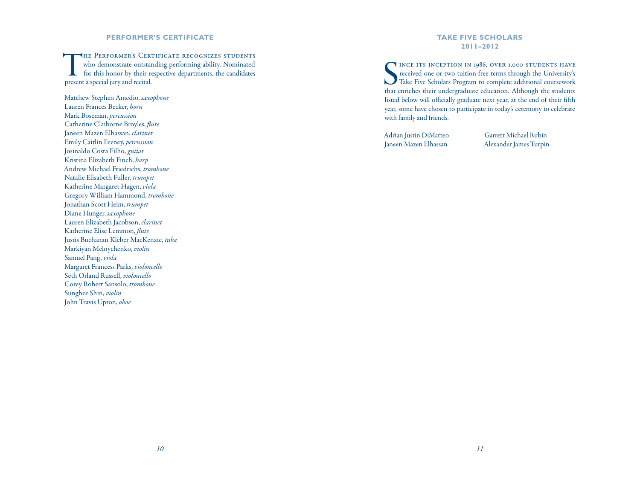# **Performer's Certificate**

THE PERFORMER'S CERTIFICATE RECOGNIZES STUDENTS<br>
for this honor by their respective departments, the candidates who demonstrate outstanding performing ability. Nominated present a special jury and recital.

Matthew Stephen Amedio, *saxophone* Lauren Frances Becker, *horn* Mark Boseman, *percussion* Catherine Claiborne Broyles, *flute* Janeen Mazen Elhassan, *clarinet* Emily Caitlin Feeney, *percussion* Josinaldo Costa Filho, *guitar* Kristina Elizabeth Finch, *harp* Andrew Michael Friedrichs, *trombone* Natalie Elisabeth Fuller, *trumpet* Katherine Margaret Hagen, *viola* Gregory William Hammond, *trombone* Jonathan Scott Heim, *trumpet* Diane Hunger, *saxophone* Lauren Elizabeth Jacobson, *clarinet* Katherine Elise Lemmon, *flute* Justis Buchanan Kleber MacKenzie, *tuba* Markiyan Melnychenko, *violin* Samuel Pang, *viola* Margaret Francess Parks, *violoncello* Seth Orland Russell, *violoncello* Corey Robert Sansolo, *trombone* Sunghee Shin, *violin* John Travis Upton, *oboe*

### **Take Five Scholars 2011–2012**

SE INCE ITS INCEPTION IN 1986, OVER 1,000 STUDENTS HAVE received one or two tuition-free terms through the University's Take Five Scholars Program to complete additional coursework INCE ITS INCEPTION IN 1986, OVER 1,000 STUDENTS HAVE received one or two tuition-free terms through the University's that enriches their undergraduate education. Although the students listed below will officially graduate next year, at the end of their fifth year, some have chosen to participate in today's ceremony to celebrate with family and friends.

Adrian Justin DiMatteo Janeen Mazen Elhassan

Garrett Michael Rubin Alexander James Turpin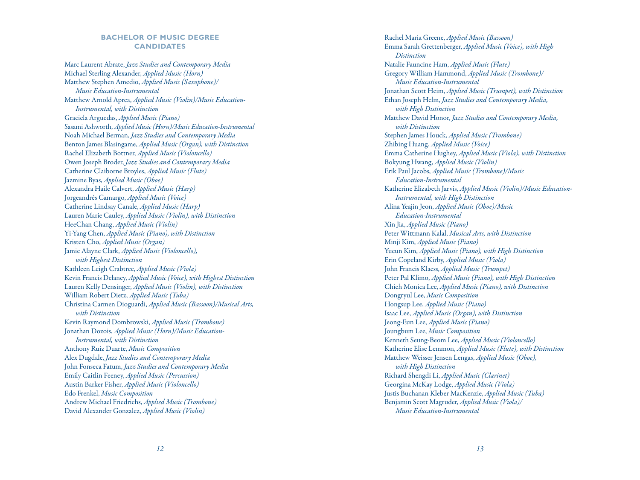# **BACHELOR OF MUSIC DEGREE CAN D I DATES**

Marc Laurent Abrate, *Jazz Studies and Contemporary Media* Michael Sterling Alexander, *Applied Music (Horn)* Matthew Stephen Amedio, *Applied Music (Saxophone)/ Music Education-Instrumental* Matthew Arnold Aprea, *Applied Music (Violin)/Music Education-Instrumental, with Distinction* Graciela Arguedas, *Applied Music (Piano)* Sasami Ashworth, *Applied Music (Horn)/Music Education-Instrumental* Noah Michael Berman, *Jazz Studies and Contemporary Media* Benton James Blasingame, *Applied Music (Organ), with Distinction* Rachel Elizabeth Bottner, *Applied Music (Violoncello)* Owen Joseph Broder, *Jazz Studies and Contemporary Media* Catherine Claiborne Broyles, *Applied Music (Flute)* Jazmine Byas, *Applied Music (Oboe)* Alexandra Haile Calvert, *Applied Music (Harp)* Jorgeandrés Camargo, *Applied Music (Voice)* Catherine Lindsay Canale, *Applied Music (Harp)* Lauren Marie Cauley, *Applied Music (Violin), with Distinction* HeeChan Chang, *Applied Music (Violin)* Yi-Yang Chen, *Applied Music (Piano), with Distinction* Kristen Cho, *Applied Music (Organ)* Jamie Alayne Clark, *Applied Music (Violoncello), with Highest Distinction* Kathleen Leigh Crabtree, *Applied Music (Viola)* Kevin Francis Delaney, *Applied Music (Voice), with Highest Distinction* Lauren Kelly Densinger, *Applied Music (Violin), with Distinction* William Robert Dietz, *Applied Music (Tuba)* Christina Carmen Dioguardi, *Applied Music (Bassoon)/Musical Arts, with Distinction* Kevin Raymond Dombrowski, *Applied Music (Trombone)* Jonathan Dozois, *Applied Music (Horn)/Music Education-Instrumental, with Distinction* Anthony Ruiz Duarte, *Music Composition* Alex Dugdale, *Jazz Studies and Contemporary Media* John Fonseca Fatum, *Jazz Studies and Contemporary Media* Emily Caitlin Feeney, *Applied Music (Percussion)* Austin Barker Fisher, *Applied Music (Violoncello)* Edo Frenkel, *Music Composition* Andrew Michael Friedrichs, *Applied Music (Trombone)* David Alexander Gonzalez, *Applied Music (Violin)*

Rachel Maria Greene, *Applied Music (Bassoon)* Emma Sarah Grettenberger, *Applied Music (Voice), with High Distinction* Natalie Fauncine Ham, *Applied Music (Flute)* Gregory William Hammond, *Applied Music (Trombone)/ Music Education-Instrumental*  Jonathan Scott Heim, *Applied Music (Trumpet), with Distinction* Ethan Joseph Helm, *Jazz Studies and Contemporary Media, with High Distinction* Matthew David Honor, *Jazz Studies and Contemporary Media, with Distinction* Stephen James Houck, *Applied Music (Trombone)* Zhibing Huang, *Applied Music (Voice)* Emma Catherine Hughey, *Applied Music (Viola), with Distinction* Bokyung Hwang, *Applied Music (Violin)* Erik Paul Jacobs, *Applied Music (Trombone)/Music Education-Instrumental*  Katherine Elizabeth Jarvis, *Applied Music (Violin)/Music Education-Instrumental, with High Distinction* Alina Yeajin Jeon, *Applied Music (Oboe)/Music Education-Instrumental* Xin Jia, *Applied Music (Piano)* Peter Wittmann Kalal, *Musical Arts, with Distinction* Minji Kim, *Applied Music (Piano)* Yueun Kim, *Applied Music (Piano), with High Distinction* Erin Copeland Kirby, *Applied Music (Viola)* John Francis Klaess, *Applied Music (Trumpet)* Peter Pal Klimo, *Applied Music (Piano), with High Distinction* Chieh Monica Lee, *Applied Music (Piano), with Distinction* Dongryul Lee, *Music Composition* Hongsup Lee, *Applied Music (Piano)* Isaac Lee, *Applied Music (Organ), with Distinction* Jeong-Eun Lee, *Applied Music (Piano)* Joungbum Lee, *Music Composition* Kenneth Seung-Beom Lee, *Applied Music (Violoncello)* Katherine Elise Lemmon, *Applied Music (Flute), with Distinction* Matthew Weisser Jensen Lengas, *Applied Music (Oboe), with High Distinction* Richard Shengdi Li, *Applied Music (Clarinet)* Georgina McKay Lodge, *Applied Music (Viola)* Justis Buchanan Kleber MacKenzie, *Applied Music (Tuba)* Benjamin Scott Magruder, *Applied Music (Viola)/ Music Education-Instrumental*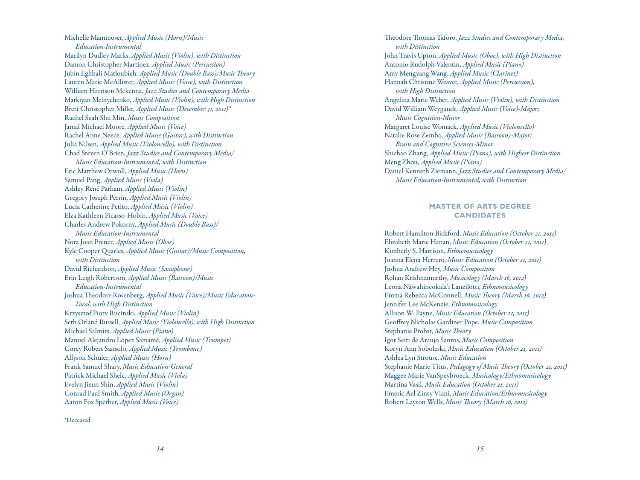Michelle Mammoser, *Applied Music (Horn)/Music Education-Instrumental*  Marilyn Dudley Marks, *Applied Music (Violin), with Distinction* Damon Christopher Martinez, *Applied Music (Percussion)* Jubin Eghbali Matloubieh, *Applied Music (Double Bass)/Music Theory* Lauren Marie McAllister, *Applied Music (Voice), with Distinction* William Harrison Mckenna, *Jazz Studies and Contemporary Media* Markiyan Melnychenko, *Applied Music (Violin), with High Distinction* Brett Christopher Miller, *Applied Music (December 31, 2011)\** Rachel Seah Shu Min, *Music Composition* Jamal Michael Moore, *Applied Music (Voice)* Rachel Anne Neece, *Applied Music (Guitar), with Distinction* Julia Nilsen, *Applied Music (Violoncello), with Distinction* Chad Steven O'Brien, *Jazz Studies and Contemporary Media/ Music Education-Instrumental, with Distinction* Eric Matthew Orwoll, *Applied Music (Horn)* Samuel Pang, *Applied Music (Viola)* Ashley René Parham, *Applied Music (Violin)* Gregory Joseph Perrin, *Applied Music (Violin)* Lucia Catherine Petito, *Applied Music (Violin)* Elza Kathleen Picasso-Hobin, *Applied Music (Voice)* Charles Andrew Pokorny, *Applied Music (Double Bass)/ Music Education-Instrumental*  Nora Joan Prener, *Applied Music (Oboe)* Kyle Cooper Quarles, *Applied Music (Guitar)/Music Composition, with Distinction* David Richardson, *Applied Music (Saxophone)* Erin Leigh Robertson, *Applied Music (Bassoon)/Music Education-Instrumental*  Joshua Theodore Rosenberg, *Applied Music (Voice)/Music Education-Vocal, with High Distinction* Krzysztof Piotv Rucinski, *Applied Music (Violin)* Seth Orland Russell, *Applied Music (Violoncello), with High Distinction* Michael Salmirs, *Applied Music (Piano)* Manuel Alejandro López Samamé, *Applied Music (Trumpet)* Corey Robert Sansolo, *Applied Music (Trombone)* Allyson Schuler, *Applied Music (Horn)* Frank Samuel Shary, *Music Education-General* Patrick Michael Shelc, *Applied Music (Viola)* Evelyn Jieun Shin, *Applied Music (Violin)* Conrad Paul Smith, *Applied Music (Organ)* Aaron Fox Sperber, *Applied Music (Voice)*

\*Deceased

Theodore Thomas Taforo, *Jazz Studies and Contemporary Media, with Distinction* John Travis Upton, *Applied Music (Oboe), with High Distinction* Antonio Rudolph Valentin, *Applied Music (Piano)* Amy Mengyang Wang, *Applied Music (Clarinet)* Hannah Christine Weaver, *Applied Music (Percussion), with High Distinction* Angelina Marie Weber, *Applied Music (Violin), with Distinction* David William Weygandt, *Applied Music (Voice)-Major; Music Cognition-Minor*  Margaret Louise Womack, *Applied Music (Violoncello)* Natalie Rose Zemba, *Applied Music (Bassoon)-Major; Brain and Cognitive Sciences-Minor* Shichao Zhang, *Applied Music (Piano), with Highest Distinction* Meng Zhou, *Applied Music (Piano)* Daniel Kenneth Ziemann, *Jazz Studies and Contemporary Media/ Music Education-Instrumental, with Distinction*

# **MASTER OF ARTS DEGREE CAN D I DATES**

Robert Hamilton Bickford, *Music Education (October 21, 2011)* Elizabeth Marie Hanan, *Music Education (October 21, 2011)* Kimberly S. Harrison, *Ethnomusicology* Joanna Elena Herrero, *Music Education (October 21, 2011)* Joshua Andrew Hey, *Music Composition* Rohan Krishnamurthy, *Musicology (March 16, 2012)* Leona N āwahineokala'i Lanzilotti, *Ethnomusicology* Emma Rebecca McConnell, *Music Theory (March 16, 2012)* Jennifer Lee McKenzie, *Ethnomusicology* Allison W. Payne, *Music Education (October 21, 2011)* Geoffrey Nicholas Gardiner Pope, *Music Composition* Stephanie Probst, *Music Theory* Igor Seiti de Araujo Santos, *Music Composition* Koryn Ann Soboleski, *Music Education (October 21, 2011)* Ashlea Lyn Strouse, *Music Education* Stephanie Marie Titus, *Pedagogy of Music Theory (October 21, 2011)* Maggee Marie VanSpeybroeck, *Musicology/Ethnomusicology* Martina Vasil, *Music Education (October 21, 2011)* Emeric Ael Zinty Viani, *Music Education/Ethnomusicology* Robert Layton Wells, *Music Theory (March 16, 2012)*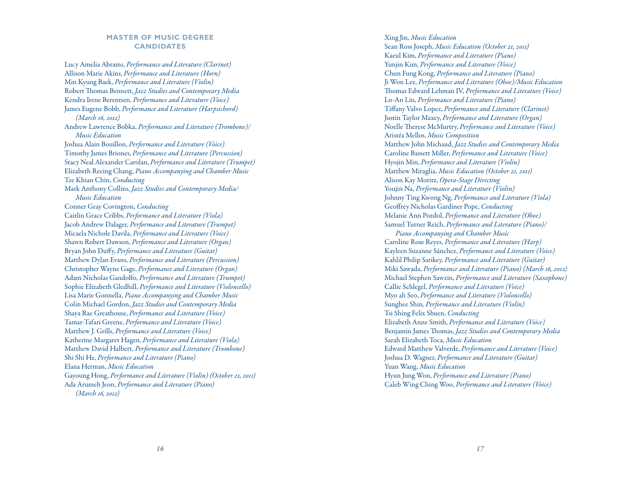# **MASTER OF MUSIC DEGREE CANDIDATES**

Lucy Amelia Abrams, *Performance and Literature (Clarinet)* Allison Marie Akins, *Performance and Literature (Horn)* Min Kyung Baek, *Performance and Literature (Violin)* Robert Thomas Bennett, *Jazz Studies and Contemporary Media* Kendra Irene Berentsen, *Performance and Literature (Voice)* James Eugene Bobb, *Performance and Literature (Harpsichord) (March 16, 2012)* Andrew Lawrence Bobka, *Performance and Literature (Trombone)/ Music Education* Joshua Alain Bouillon, *Performance and Literature (Voice)* Timothy James Briones, *Performance and Literature (Percussion)* Stacy Neal Alexander Carolan, *Performance and Literature (Trumpet)* Elizabeth Reeing Chang, *Piano Accompanying and Chamber Music* Tze Khian Chin, *Conducting* Mark Anthony Collins, *Jazz Studies and Contemporary Media/ Music Education* Conner Gray Covington, *Conducting* Caitlin Grace Cribbs, *Performance and Literature (Viola)* Jacob Andrew Dalager, *Performance and Literature (Trumpet)* Micaela Nichole Davila, *Performance and Literature (Voice)* Shawn Robert Dawson, *Performance and Literature (Organ)* Bryan John Duffy, *Performance and Literature (Guitar)* Matthew Dylan Evans, *Performance and Literature (Percussion)* Christopher Wayne Gage, *Performance and Literature (Organ)* Adam Nicholas Gandolfo, *Performance and Literature (Trumpet)* Sophie Elizabeth Gledhill, *Performance and Literature (Violoncello)* Lisa Marie Gonnella, *Piano Accompanying and Chamber Music* Colin Michael Gordon, *Jazz Studies and Contemporary Media* Shaya Rae Greathouse, *Performance and Literature (Voice)* Tamar-Tafari Greene, *Performance and Literature (Voice)* Matthew J. Grills, *Performance and Literature (Voice)* Katherine Margaret Hagen, *Performance and Literature (Viola)* Matthew David Halbert, *Performance and Literature (Trombone)* Shi Shi He, *Performance and Literature (Piano)* Elana Herman, *Music Education* Gayoung Hong, *Performance and Literature (Violin) (October 21, 2011)* Ada Arumeh Jeon, *Performance and Literature (Piano) (March 16, 2012)*

Xing Jin, *Music Education* Sean Ross Joseph, *Music Education (October 21, 2011)* Kaeul Kim, *Performance and Literature (Piano)* Yunjin Kim, *Performance and Literature (Voice)* Chun Fung Kong, *Performance and Literature (Piano)* Ji Won Lee, *Performance and Literature (Oboe)/Music Education* Thomas Edward Lehman IV, *Performance and Literature (Voice)* Lo-An Lin, *Performance and Literature (Piano)* Tiffany Valvo Lopez, *Performance and Literature (Clarinet)* Justin Taylor Maxey, *Performance and Literature (Organ)* Noelle Therese McMurtry, *Performance and Literature (Voice)* Aristéa Mellos, *Music Composition* Matthew John Michaud, *Jazz Studies and Contemporary Media* Caroline Bassett Miller, *Performance and Literature (Voice)* Hyojin Min, *Performance and Literature (Violin)* Matthew Miraglia, *Music Education (October 21, 2011)* Alison Kay Moritz, *Opera-Stage Directing* Youjin Na, *Performance and Literature (Violin)* Johnny Ting Kwong Ng, *Performance and Literature (Viola)* Geoffrey Nicholas Gardiner Pope, *Conducting* Melanie Ann Pozdol, *Performance and Literature (Oboe)* Samuel Turner Reich, *Performance and Literature (Piano)/ Piano Accompanying and Chamber Music*  Caroline Rose Reyes, *Performance and Literature (Harp)* Kayleen Suzanne Sánchez, *Performance and Literature (Voice)* Kahlil Philip Sarikey, *Performance and Literature (Guitar)* Miki Sawada, *Performance and Literature (Piano) (March 16, 2012)* Michael Stephen Sawzin, *Performance and Literature (Saxophone)* Callie Schlegel, *Performance and Literature (Voice)* Myo ah Seo, *Performance and Literature (Violoncello)* Sunghee Shin, *Performance and Literature (Violin)*

Tsi Shing Felix Shuen, *Conducting* Elizabeth Anne Smith, *Performance and Literature (Voice)* Benjamin James Thomas, *Jazz Studies and Contemporary Media* Sarah Elizabeth Toca, *Music Education* Edward Matthew Valverde, *Performance and Literature (Voice)* Joshua D. Wagner, *Performance and Literature (Guitar)* Yuan Wang, *Music Education* Hyun Jung Won, *Performance and Literature (Piano)* Caleb Wing Ching Woo, *Performance and Literature (Voice)*